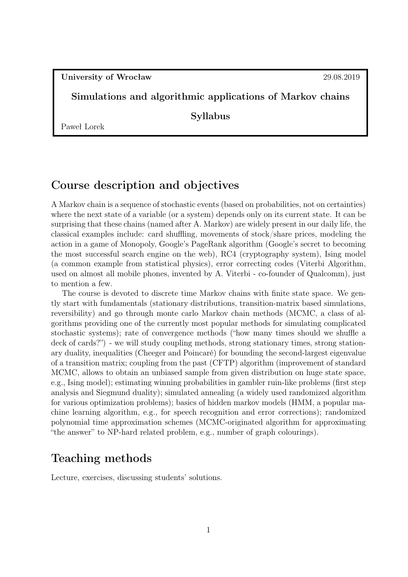University of Wrocław 29.08.2019

#### Simulations and algorithmic applications of Markov chains

Syllabus

Paweł Lorek

### Course description and objectives

A Markov chain is a sequence of stochastic events (based on probabilities, not on certainties) where the next state of a variable (or a system) depends only on its current state. It can be surprising that these chains (named after A. Markov) are widely present in our daily life, the classical examples include: card shuffling, movements of stock/share prices, modeling the action in a game of Monopoly, Google's PageRank algorithm (Google's secret to becoming the most successful search engine on the web), RC4 (cryptography system), Ising model (a common example from statistical physics), error correcting codes (Viterbi Algorithm, used on almost all mobile phones, invented by A. Viterbi - co-founder of Qualcomm), just to mention a few.

The course is devoted to discrete time Markov chains with finite state space. We gently start with fundamentals (stationary distributions, transition-matrix based simulations, reversibility) and go through monte carlo Markov chain methods (MCMC, a class of algorithms providing one of the currently most popular methods for simulating complicated stochastic systems); rate of convergence methods ("how many times should we shuffle a deck of cards?") - we will study coupling methods, strong stationary times, strong stationary duality, inequalities (Cheeger and Poincaré) for bounding the second-largest eigenvalue of a transition matrix; coupling from the past (CFTP) algorithm (improvement of standard MCMC, allows to obtain an unbiased sample from given distribution on huge state space, e.g., Ising model); estimating winning probabilities in gambler ruin-like problems (first step analysis and Siegmund duality); simulated annealing (a widely used randomized algorithm for various optimization problems); basics of hidden markov models (HMM, a popular machine learning algorithm, e.g., for speech recognition and error corrections); randomized polynomial time approximation schemes (MCMC-originated algorithm for approximating "the answer" to NP-hard related problem, e.g., number of graph colourings).

### Teaching methods

Lecture, exercises, discussing students' solutions.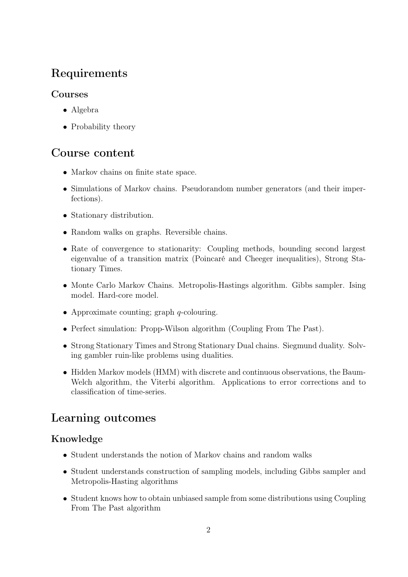## Requirements

### Courses

- Algebra
- Probability theory

### Course content

- Markov chains on finite state space.
- Simulations of Markov chains. Pseudorandom number generators (and their imperfections).
- Stationary distribution.
- Random walks on graphs. Reversible chains.
- Rate of convergence to stationarity: Coupling methods, bounding second largest eigenvalue of a transition matrix (Poincaré and Cheeger inequalities), Strong Stationary Times.
- Monte Carlo Markov Chains. Metropolis-Hastings algorithm. Gibbs sampler. Ising model. Hard-core model.
- Approximate counting; graph  $q$ -colouring.
- Perfect simulation: Propp-Wilson algorithm (Coupling From The Past).
- Strong Stationary Times and Strong Stationary Dual chains. Siegmund duality. Solving gambler ruin-like problems using dualities.
- Hidden Markov models (HMM) with discrete and continuous observations, the Baum-Welch algorithm, the Viterbi algorithm. Applications to error corrections and to classification of time-series.

## Learning outcomes

### Knowledge

- Student understands the notion of Markov chains and random walks
- Student understands construction of sampling models, including Gibbs sampler and Metropolis-Hasting algorithms
- Student knows how to obtain unbiased sample from some distributions using Coupling From The Past algorithm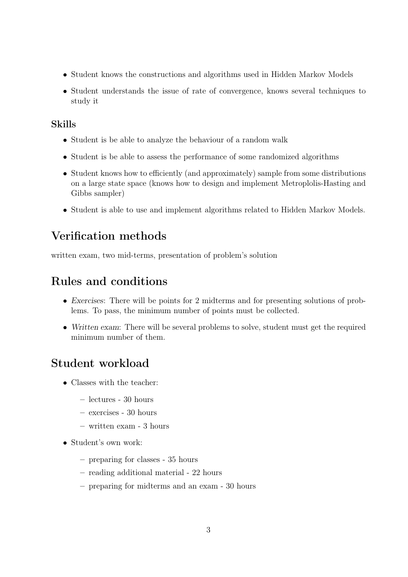- Student knows the constructions and algorithms used in Hidden Markov Models
- Student understands the issue of rate of convergence, knows several techniques to study it

#### Skills

- Student is be able to analyze the behaviour of a random walk
- Student is be able to assess the performance of some randomized algorithms
- Student knows how to efficiently (and approximately) sample from some distributions on a large state space (knows how to design and implement Metroplolis-Hasting and Gibbs sampler)
- Student is able to use and implement algorithms related to Hidden Markov Models.

## Verification methods

written exam, two mid-terms, presentation of problem's solution

### Rules and conditions

- Exercises: There will be points for 2 midterms and for presenting solutions of problems. To pass, the minimum number of points must be collected.
- Written exam: There will be several problems to solve, student must get the required minimum number of them.

### Student workload

- Classes with the teacher:
	- lectures 30 hours
	- exercises 30 hours
	- written exam 3 hours
- Student's own work:
	- preparing for classes 35 hours
	- reading additional material 22 hours
	- preparing for midterms and an exam 30 hours